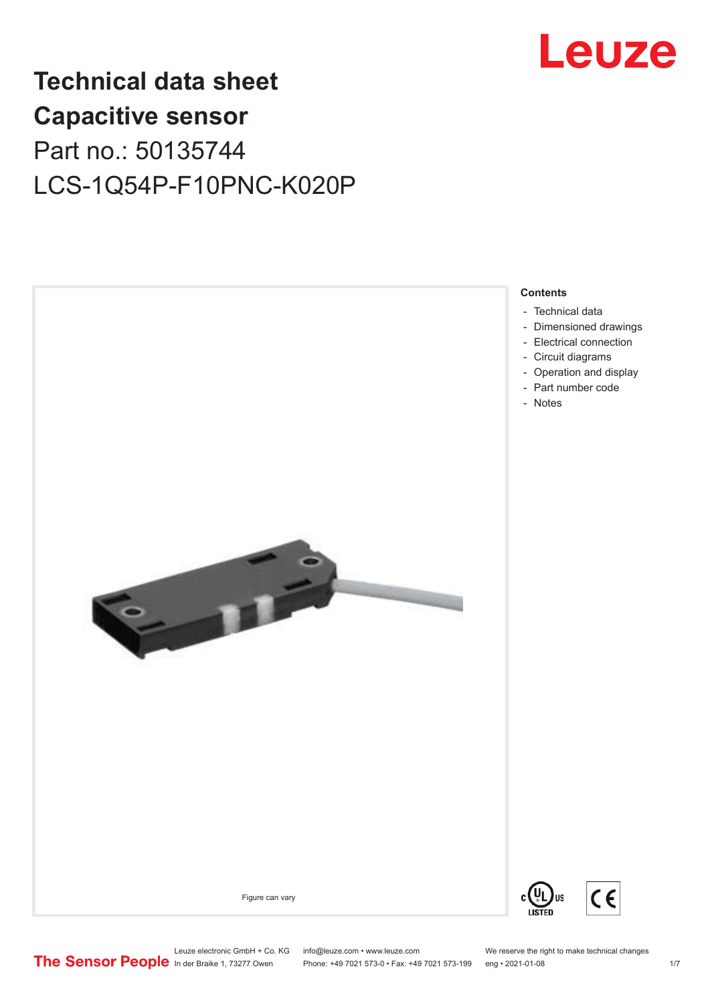

# **Technical data sheet Capacitive sensor** Part no.: 50135744 LCS-1Q54P-F10PNC-K020P



- [Technical data](#page-1-0)
- [Dimensioned drawings](#page-2-0) - [Electrical connection](#page-4-0)
- [Circuit diagrams](#page-5-0)
- [Operation and display](#page-5-0)
- [Part number code](#page-5-0)
- [Notes](#page-6-0)

Figure can vary



 $\epsilon$ 

Leuze electronic GmbH + Co. KG info@leuze.com • www.leuze.com We reserve the right to make technical changes<br>
The Sensor People in der Braike 1, 73277 Owen Phone: +49 7021 573-0 • Fax: +49 7021 573-199 eng • 2021-01-08

Phone: +49 7021 573-0 • Fax: +49 7021 573-199 eng • 2021-01-08 17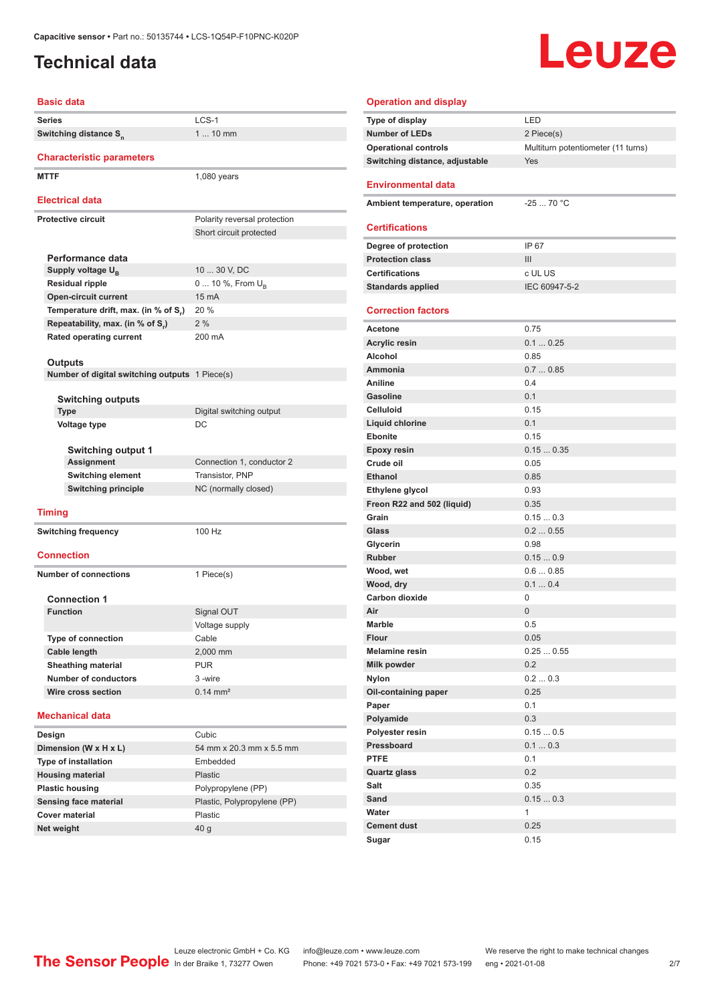# <span id="page-1-0"></span>**Technical data**

# Leuze

| <b>Basic data</b>                              |                              | Operatio          |
|------------------------------------------------|------------------------------|-------------------|
| <b>Series</b>                                  | $LCS-1$                      | Type of di        |
| Switching distance S <sub>n</sub>              | $110$ mm                     | Number o          |
|                                                |                              | Operation         |
| <b>Characteristic parameters</b>               |                              | Switching         |
| <b>MTTF</b>                                    | $1,080$ years                | Environr          |
| <b>Electrical data</b>                         |                              | <b>Ambient t</b>  |
| <b>Protective circuit</b>                      | Polarity reversal protection |                   |
|                                                | Short circuit protected      | Certifica         |
|                                                |                              | Degree of         |
| Performance data                               |                              | <b>Protection</b> |
| Supply voltage $U_{\rm B}$                     | 10  30 V, DC                 | Certificati       |
| <b>Residual ripple</b>                         | 0  10 %, From $U_{\rm B}$    | <b>Standards</b>  |
| <b>Open-circuit current</b>                    | 15 mA                        |                   |
| Temperature drift, max. (in % of S.)           | 20 %                         | Correctio         |
| Repeatability, max. (in % of S.)               | 2%                           | Acetone           |
| <b>Rated operating current</b>                 | 200 mA                       | Acrylic re        |
|                                                |                              | Alcohol           |
| <b>Outputs</b>                                 |                              | Ammonia           |
| Number of digital switching outputs 1 Piece(s) |                              | Aniline           |
| <b>Switching outputs</b>                       |                              | Gasoline          |
| <b>Type</b>                                    | Digital switching output     | Celluloid         |
| <b>Voltage type</b>                            | DC                           | Liguid chl        |
|                                                |                              | Ebonite           |
| Switching output 1                             |                              | Epoxy res         |
| <b>Assignment</b>                              | Connection 1, conductor 2    | Crude oil         |
| <b>Switching element</b>                       | Transistor, PNP              | <b>Ethanol</b>    |
| <b>Switching principle</b>                     | NC (normally closed)         | <b>Ethylene</b>   |
|                                                |                              | Freon R22         |
| <b>Timing</b>                                  |                              | Grain             |
| <b>Switching frequency</b>                     | 100 Hz                       | Glass             |
|                                                |                              | Glycerin          |
| <b>Connection</b>                              |                              | <b>Rubber</b>     |
| <b>Number of connections</b>                   | 1 Piece(s)                   | Wood, we          |
|                                                |                              | Wood, dry         |
| <b>Connection 1</b>                            |                              | Carbon di         |
| <b>Function</b>                                | Signal OUT                   | Air               |
|                                                | Voltage supply               | Marble            |
| <b>Type of connection</b>                      | Cable                        | <b>Flour</b>      |
| Cable length                                   | 2,000 mm                     | <b>Melamine</b>   |
| <b>Sheathing material</b>                      | <b>PUR</b>                   | <b>Milk powd</b>  |
| <b>Number of conductors</b>                    | 3-wire                       | Nylon             |
| Wire cross section                             | $0.14 \, \text{mm}^2$        | Oil-contai        |
|                                                |                              | Paper             |
| <b>Mechanical data</b>                         |                              | Polyamid          |
| Design                                         | Cubic                        | Polyester         |
| Dimension (W x H x L)                          | 54 mm x 20.3 mm x 5.5 mm     | Pressboa          |
| <b>Type of installation</b>                    | Embedded                     | <b>PTFE</b>       |
| <b>Housing material</b>                        | <b>Plastic</b>               | Quartz gla        |
| <b>Plastic housing</b>                         | Polypropylene (PP)           | Salt              |
| Sensing face material                          | Plastic, Polypropylene (PP)  | Sand              |

**Cover material** Plastic **Net weight** 40 g

| <b>Operation and display</b>   |                                    |
|--------------------------------|------------------------------------|
| Type of display                | LED                                |
| <b>Number of LEDs</b>          | 2 Piece(s)                         |
| <b>Operational controls</b>    | Multiturn potentiometer (11 turns) |
| Switching distance, adjustable | Yes                                |
| <b>Environmental data</b>      |                                    |
|                                |                                    |
| Ambient temperature, operation | $-2570 °C$                         |
| <b>Certifications</b>          |                                    |
| Degree of protection           | IP 67                              |
| <b>Protection class</b>        | III                                |
| <b>Certifications</b>          | c UL US                            |
| <b>Standards applied</b>       | IEC 60947-5-2                      |
| <b>Correction factors</b>      |                                    |
| Acetone                        | 0.75                               |
| <b>Acrylic resin</b>           | 0.10.25                            |
| Alcohol                        | 0.85                               |
| Ammonia                        | 0.70.85                            |
| Aniline                        | 0.4                                |
| <b>Gasoline</b>                | 0.1                                |
| Celluloid                      | 0.15                               |
| <b>Liquid chlorine</b>         | 0.1                                |
| <b>Ebonite</b>                 | 0.15                               |
| <b>Epoxy resin</b>             | 0.150.35                           |
| Crude oil                      | 0.05                               |
| <b>Ethanol</b>                 | 0.85                               |
| Ethylene glycol                | 0.93                               |
| Freon R22 and 502 (liquid)     | 0.35                               |
| Grain                          | 0.150.3                            |
| Glass                          | 0.20.55                            |
| Glycerin                       | 0.98                               |
| <b>Rubber</b>                  | 0.150.9                            |
| Wood, wet                      | 0.60.85                            |
| Wood, dry                      | 0.10.4                             |
| Carbon dioxide                 | 0                                  |
| Air                            | 0                                  |
| <b>Marble</b>                  | 0.5                                |
| Flour                          | 0.05                               |
| <b>Melamine resin</b>          | 0.250.55                           |
| Milk powder                    | 0.2                                |
| <b>Nylon</b>                   | 0.20.3                             |
| Oil-containing paper           | 0.25                               |
| Paper                          | 0.1                                |
| Polyamide                      | 0.3                                |
| Polyester resin                | 0.150.5                            |
| Pressboard                     | 0.10.3                             |
| <b>PTFE</b>                    | 0.1                                |
| Quartz glass                   | 0.2                                |
| Salt                           | 0.35                               |
| Sand                           | 0.150.3                            |
| Water                          | $\mathbf{1}$                       |
| <b>Cement dust</b>             | 0.25                               |
| Sugar                          | 0.15                               |

Leuze electronic GmbH + Co. KG info@leuze.com • www.leuze.com We reserve the right to make technical changes ln der Braike 1, 73277 Owen Phone: +49 7021 573-0 • Fax: +49 7021 573-199 eng • 2021-01-08 2/7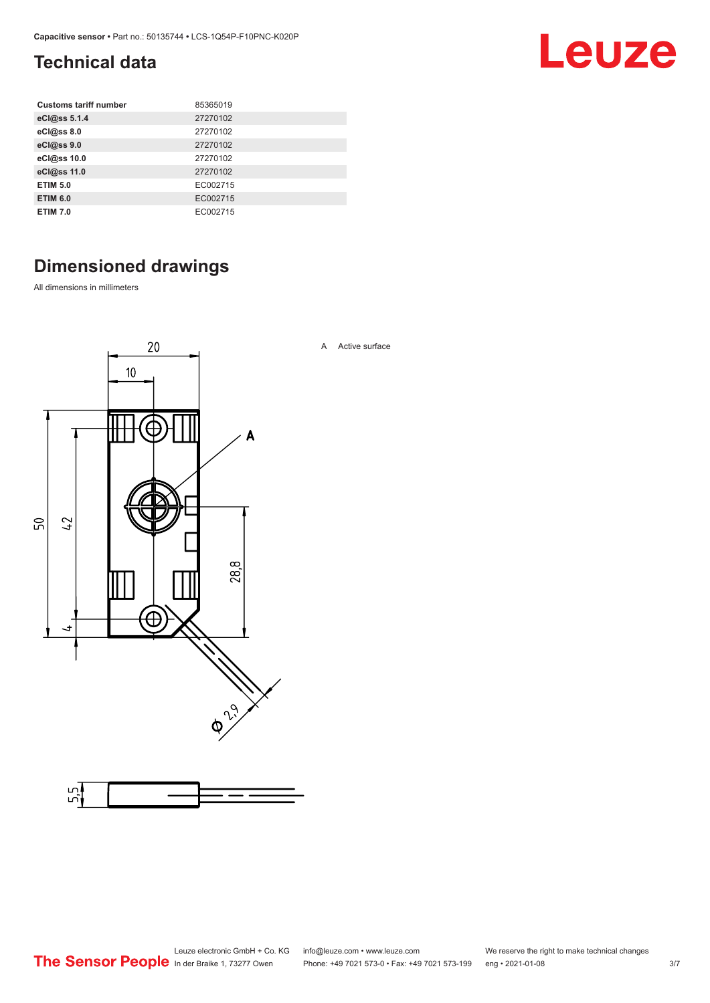# <span id="page-2-0"></span>**Technical data**

| <b>Customs tariff number</b> | 85365019 |
|------------------------------|----------|
| eCl@ss 5.1.4                 | 27270102 |
| eCl@ss 8.0                   | 27270102 |
| eCl@ss 9.0                   | 27270102 |
| eCl@ss 10.0                  | 27270102 |
| eCl@ss 11.0                  | 27270102 |
| <b>ETIM 5.0</b>              | EC002715 |
| <b>ETIM 6.0</b>              | EC002715 |
| <b>ETIM 7.0</b>              | EC002715 |

# **Dimensioned drawings**

All dimensions in millimeters



Leuze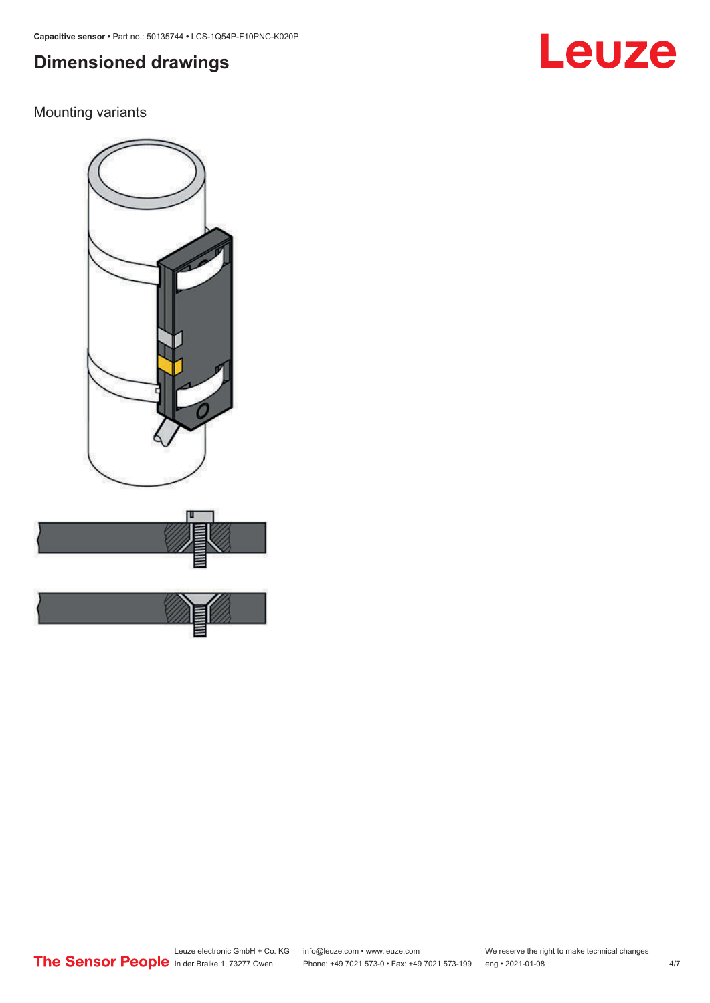# **Dimensioned drawings**

### Mounting variants



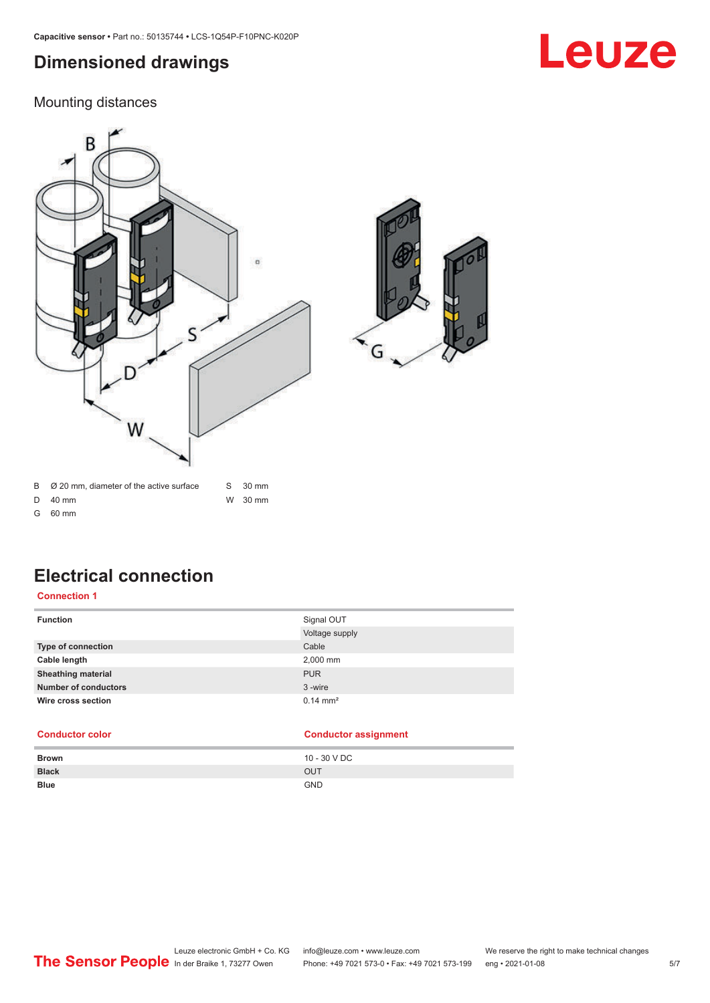# <span id="page-4-0"></span>**Dimensioned drawings**

# Leuze

### Mounting distances



G 60 mm

# **Electrical connection**

**Connection 1**

| <b>Function</b>             | Signal OUT<br>Voltage supply |
|-----------------------------|------------------------------|
| <b>Type of connection</b>   | Cable                        |
| Cable length                | 2,000 mm                     |
| <b>Sheathing material</b>   | <b>PUR</b>                   |
| <b>Number of conductors</b> | 3-wire                       |
| Wire cross section          | $0.14 \, \text{mm}^2$        |

#### **Conductor color Conductor assignment**

| <b>Brown</b> | 10 - 30 V DC |
|--------------|--------------|
| <b>Black</b> | OUT          |
| <b>Blue</b>  | <b>GND</b>   |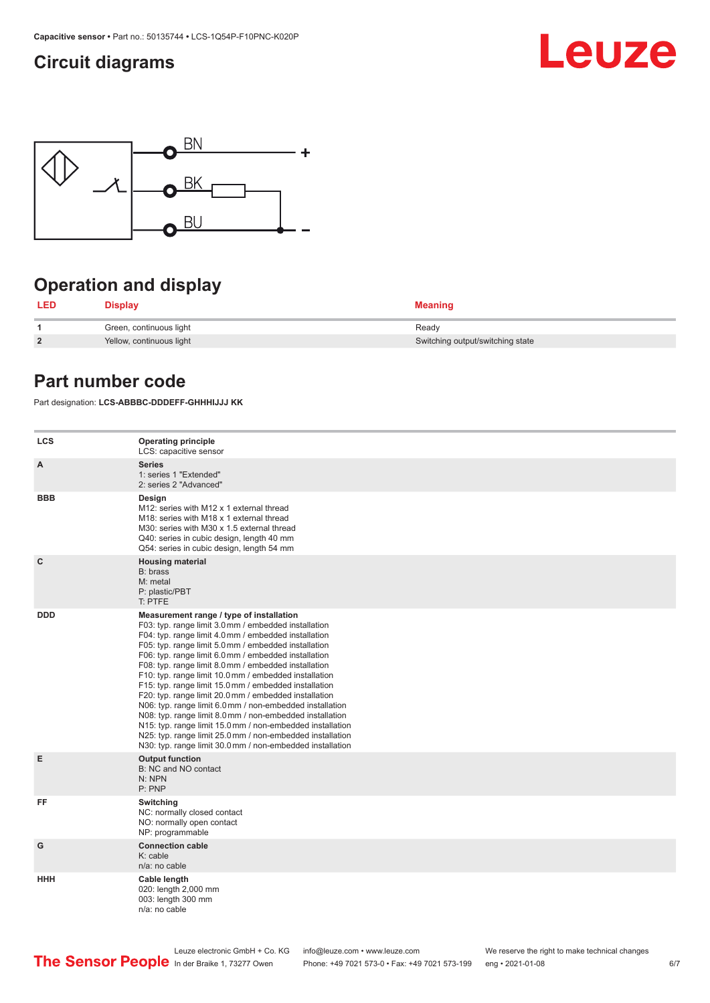# <span id="page-5-0"></span>**Circuit diagrams**





# **Operation and display**

| LED            | <b>Display</b>           | <b>Meaning</b>                   |
|----------------|--------------------------|----------------------------------|
|                | Green, continuous light  | Ready                            |
| $\overline{2}$ | Yellow, continuous light | Switching output/switching state |

## **Part number code**

Part designation: **LCS-ABBBC-DDDEFF-GHHHIJJJ KK**

| <b>LCS</b>   | <b>Operating principle</b><br>LCS: capacitive sensor                                                                                                                                                                                                                                                                                                                                                                                                                                                                                                                                                                                                                                                                                                                                                                       |
|--------------|----------------------------------------------------------------------------------------------------------------------------------------------------------------------------------------------------------------------------------------------------------------------------------------------------------------------------------------------------------------------------------------------------------------------------------------------------------------------------------------------------------------------------------------------------------------------------------------------------------------------------------------------------------------------------------------------------------------------------------------------------------------------------------------------------------------------------|
| A            | <b>Series</b><br>1: series 1 "Extended"<br>2: series 2 "Advanced"                                                                                                                                                                                                                                                                                                                                                                                                                                                                                                                                                                                                                                                                                                                                                          |
| <b>BBB</b>   | Design<br>M12: series with M12 x 1 external thread<br>M18: series with M18 x 1 external thread<br>M30: series with M30 x 1.5 external thread<br>Q40: series in cubic design, length 40 mm<br>Q54: series in cubic design, length 54 mm                                                                                                                                                                                                                                                                                                                                                                                                                                                                                                                                                                                     |
| $\mathbf{C}$ | <b>Housing material</b><br>B: brass<br>M: metal<br>P: plastic/PBT<br>T: PTFE                                                                                                                                                                                                                                                                                                                                                                                                                                                                                                                                                                                                                                                                                                                                               |
| <b>DDD</b>   | Measurement range / type of installation<br>F03: typ. range limit 3.0 mm / embedded installation<br>F04: typ. range limit 4.0 mm / embedded installation<br>F05: typ. range limit 5.0 mm / embedded installation<br>F06: typ. range limit 6.0 mm / embedded installation<br>F08: typ. range limit 8.0 mm / embedded installation<br>F10: typ. range limit 10.0 mm / embedded installation<br>F15: typ. range limit 15.0 mm / embedded installation<br>F20: typ. range limit 20.0 mm / embedded installation<br>N06: typ. range limit 6.0 mm / non-embedded installation<br>N08: typ. range limit 8.0 mm / non-embedded installation<br>N15: typ. range limit 15.0 mm / non-embedded installation<br>N25: typ. range limit 25.0 mm / non-embedded installation<br>N30: typ. range limit 30.0 mm / non-embedded installation |
| Е            | <b>Output function</b><br>B: NC and NO contact<br>N: NPN<br>P: PNP                                                                                                                                                                                                                                                                                                                                                                                                                                                                                                                                                                                                                                                                                                                                                         |
| FF           | Switching<br>NC: normally closed contact<br>NO: normally open contact<br>NP: programmable                                                                                                                                                                                                                                                                                                                                                                                                                                                                                                                                                                                                                                                                                                                                  |
| G            | <b>Connection cable</b><br>$K:$ cable<br>n/a: no cable                                                                                                                                                                                                                                                                                                                                                                                                                                                                                                                                                                                                                                                                                                                                                                     |
| <b>HHH</b>   | Cable length<br>020: length 2,000 mm<br>003: length 300 mm<br>n/a: no cable                                                                                                                                                                                                                                                                                                                                                                                                                                                                                                                                                                                                                                                                                                                                                |